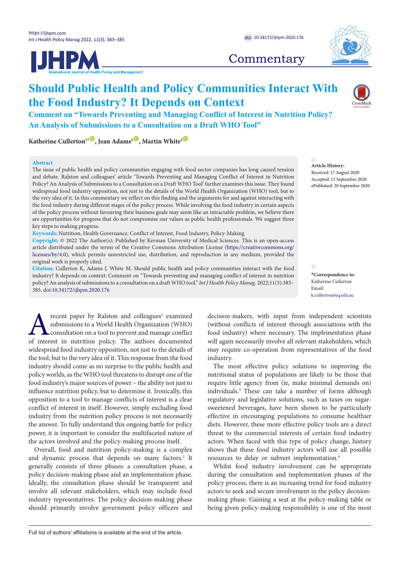



## **Commentary**

# **Should Public Health and Policy Communities Interact With the Food Industry? It Depends on Context**

**Comment on "Towards Preventing and Managing Conflict of Interest in Nutrition Policy? An Analysis of Submissions to a Consultation on a Draft WHO Tool"**

**Katherine Cullerton<sup>1</sub><sup><b>D**</sup>, Jean Adams<sup>2</sup><sup>**D**</sup>, Martin White<sup>2</sup><sup><sup>O</sup></sup></sup>

#### **Abstract**

The issue of public health and policy communities engaging with food sector companies has long caused tension and debate. Ralston and colleagues' article 'Towards Preventing and Managing Conflict of Interest in Nutrition Policy? An Analysis of Submissions to a Consultation on a Draft WHO Tool' further examines this issue. They found widespread food industry opposition, not just to the details of the World Health Organization (WHO) tool, but to the very idea of it. In this commentary we reflect on this finding and the arguments for and against interacting with the food industry during different stages of the policy process. While involving the food industry in certain aspects of the policy process without favouring their business goals may seem like an intractable problem, we believe there are opportunities for progress that do not compromise our values as public health professionals. We suggest three key steps to making progress.

**Keywords:** Nutrition, Health Governance, Conflict of Interest, Food Industry, Policy-Making

**Copyright:** © 2022 The Author(s); Published by Kerman University of Medical Sciences. This is an open-access article distributed under the terms of the Creative Commons Attribution License [\(https://creativecommons.org/](http://creativecommons.org/licenses/by/4.0) [licenses/by/4.0](http://creativecommons.org/licenses/by/4.0)), which permits unrestricted use, distribution, and reproduction in any medium, provided the original work is properly cited.

**Citation:** Cullerton K, Adams J, White M. Should public health and policy communities interact with the food industry? It depends on context: Comment on "Towards preventing and managing conflict of interest in nutrition policy? An analysis of submissions to a consultation on a draft WHO tool." *Int J Health Policy Manag.* 2022;11(3):383– 385. doi[:10.34172/ijhpm.2020.176](https://doi.org/10.34172/ijhpm.2020.176)

**Alternative Startung Proper by Ralston and colleagues<sup>1</sup> examined submissions to a World Health Organization (WHO) consultation on a tool to prevent and manage conflict of interest in nutrition policy. The authors documen** recent paper by Ralston and colleagues<sup>1</sup> examined submissions to a World Health Organization (WHO) consultation on a tool to prevent and manage conflict widespread food industry opposition, not just to the details of the tool, but to the very idea of it. This response from the food industry should come as no surprise to the public health and policy worlds, as the WHO tool threatens to disrupt one of the food industry's major sources of power – the ability not just to influence nutrition policy, but to determine it. Ironically, this opposition to a tool to manage conflicts of interest is a clear conflict of interest in itself. However, simply excluding food industry from the nutrition policy process is not necessarily the answer. To fully understand this ongoing battle for policy power, it is important to consider the multifaceted nature of the actors involved and the policy-making process itself.

Overall, food and nutrition policy-making is a complex and dynamic process that depends on many factors.<sup>2</sup> It generally consists of three phases: a consultation phase, a policy decision-making phase and an implementation phase. Ideally, the consultation phase should be transparent and involve all relevant stakeholders, which may include food industry representatives. The policy decision-making phase should primarily involve government policy officers and

decision-makers, with input from independent scientists (without conflicts of interest through associations with the food industry) where necessary. The implementation phase will again necessarily involve all relevant stakeholders, which may require co-operation from representatives of the food industry.

The most effective policy solutions to improving the nutritional status of populations are likely to be those that require little agency from (ie, make minimal demands on) individuals.3 These can take a number of forms although regulatory and legislative solutions, such as taxes on sugarsweetened beverages, have been shown to be particularly effective in encouraging populations to consume healthier diets. However, these more effective policy tools are a direct threat to the commercial interests of certain food industry actors. When faced with this type of policy change, history shows that these food industry actors will use all possible resources to delay or subvert implementation.<sup>4</sup>

Whilst food industry involvement can be appropriate during the consultation and implementation phases of the policy process, there is an increasing trend for food industry actors to seek and secure involvement in the policy decisionmaking phase. Gaining a seat at the policy-making table or being given policy-making responsibility is one of the most

**Article History:** Received: 17 August 2020 Accepted: 12 September 2020 ePublished: 20 September 2020

<span id="page-0-0"></span>**\*Correspondence to:** Katherine Cullerton Email: k.cullerton@uq.edu.au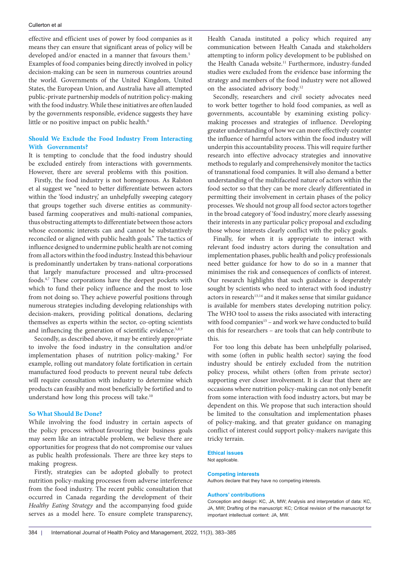#### Cullerton et al

effective and efficient uses of power by food companies as it means they can ensure that significant areas of policy will be developed and/or enacted in a manner that favours them.<sup>5</sup> Examples of food companies being directly involved in policy decision-making can be seen in numerous countries around the world. Governments of the United Kingdom, United States, the European Union, and Australia have all attempted public-private partnership models of nutrition policy-making with the food industry. While these initiatives are often lauded by the governments responsible, evidence suggests they have little or no positive impact on public health.<sup>6</sup>

### **Should We Exclude the Food Industry From Interacting With Governments?**

It is tempting to conclude that the food industry should be excluded entirely from interactions with governments. However, there are several problems with this position.

Firstly, the food industry is not homogenous. As Ralston et al suggest we "need to better differentiate between actors within the 'food industry' an unhelpfully sweeping category that groups together such diverse entities as communitybased farming cooperatives and multi-national companies, thus obstructing attempts to differentiate between those actors whose economic interests can and cannot be substantively reconciled or aligned with public health goals." The tactics of influence designed to undermine public health are not coming from all actors within the food industry. Instead this behaviour is predominantly undertaken by trans-national corporations that largely manufacture processed and ultra-processed foods.4,7 These corporations have the deepest pockets with which to fund their policy influence and the most to lose from not doing so. They achieve powerful positions through numerous strategies including developing relationships with decision-makers, providing political donations, declaring themselves as experts within the sector, co-opting scientists and influencing the generation of scientific evidence.<sup>5,8,9</sup>

Secondly, as described above, it may be entirely appropriate to involve the food industry in the consultation and/or implementation phases of nutrition policy-making.<sup>9</sup> For example, rolling out mandatory folate fortification in certain manufactured food products to prevent neural tube defects will require consultation with industry to determine which products can feasibly and most beneficially be fortified and to understand how long this process will take.10

#### **So What Should Be Done?**

While involving the food industry in certain aspects of the policy process without favouring their business goals may seem like an intractable problem, we believe there are opportunities for progress that do not compromise our values as public health professionals. There are three key steps to making progress.

Firstly, strategies can be adopted globally to protect nutrition policy-making processes from adverse interference from the food industry. The recent public consultation that occurred in Canada regarding the development of their *Healthy Eating Strategy* and the accompanying food guide serves as a model here. To ensure complete transparency,

Health Canada instituted a policy which required any communication between Health Canada and stakeholders attempting to inform policy development to be published on the Health Canada website.<sup>11</sup> Furthermore, industry-funded studies were excluded from the evidence base informing the strategy and members of the food industry were not allowed on the associated advisory body.12

Secondly, researchers and civil society advocates need to work better together to hold food companies, as well as governments, accountable by examining existing policymaking processes and strategies of influence. Developing greater understanding of how we can more effectively counter the influence of harmful actors within the food industry will underpin this accountability process. This will require further research into effective advocacy strategies and innovative methods to regularly and comprehensively monitor the tactics of transnational food companies. It will also demand a better understanding of the multifaceted nature of actors within the food sector so that they can be more clearly differentiated in permitting their involvement in certain phases of the policy processes. We should not group all food sector actors together in the broad category of 'food industry,' more clearly assessing their interests in any particular policy proposal and excluding those whose interests clearly conflict with the policy goals.

Finally, for when it is appropriate to interact with relevant food industry actors during the consultation and implementation phases, public health and policy professionals need better guidance for how to do so in a manner that minimises the risk and consequences of conflicts of interest. Our research highlights that such guidance is desperately sought by scientists who need to interact with food industry actors in research<sup>13,14</sup> and it makes sense that similar guidance is available for members states developing nutrition policy. The WHO tool to assess the risks associated with interacting with food companies<sup>15</sup> – and work we have conducted to build on this for researchers – are tools that can help contribute to this.

For too long this debate has been unhelpfully polarised, with some (often in public health sector) saying the food industry should be entirely excluded from the nutrition policy process, whilst others (often from private sector) supporting ever closer involvement. It is clear that there are occasions where nutrition policy-making can not only benefit from some interaction with food industry actors, but may be dependent on this. We propose that such interaction should be limited to the consultation and implementation phases of policy-making, and that greater guidance on managing conflict of interest could support policy-makers navigate this tricky terrain.

#### **Ethical issues**

Not applicable.

#### **Competing interests**

Authors declare that they have no competing interests.

#### **Authors' contributions**

Conception and design: KC, JA, MW; Analysis and interpretation of data: KC, JA, MW; Drafting of the manuscript: KC; Critical revision of the manuscript for important intellectual content: JA, MW.